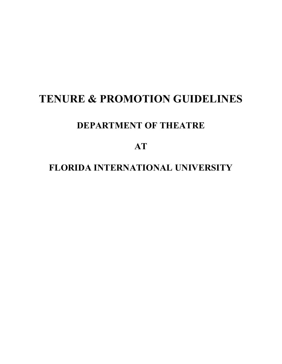# **TENURE & PROMOTION GUIDELINES**

# **DEPARTMENT OF THEATRE**

**AT**

# **FLORIDA INTERNATIONAL UNIVERSITY**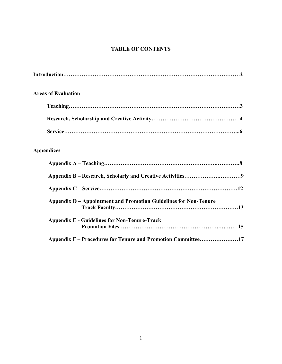# **TABLE OF CONTENTS**

| <b>Areas of Evaluation</b>                                       |
|------------------------------------------------------------------|
|                                                                  |
|                                                                  |
|                                                                  |
| <b>Appendices</b>                                                |
|                                                                  |
|                                                                  |
|                                                                  |
| Appendix D – Appointment and Promotion Guidelines for Non-Tenure |
| <b>Appendix E - Guidelines for Non-Tenure-Track</b>              |
| Appendix F – Procedures for Tenure and Promotion Committee17     |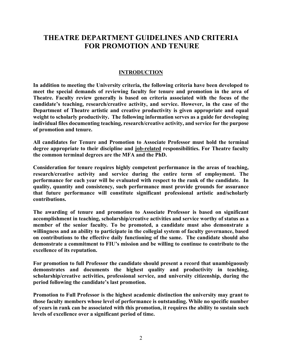# **THEATRE DEPARTMENT GUIDELINES AND CRITERIA FOR PROMOTION AND TENURE**

# **INTRODUCTION**

**In addition to meeting the University criteria, the following criteria have been developed to meet the special demands of reviewing faculty for tenure and promotion in the area of Theatre. Faculty review generally is based on criteria associated with the focus of the candidate's teaching, research/creative activity, and service. However, in the case of the Department of Theatre artistic and creative productivity is given appropriate and equal weight to scholarly productivity. The following information serves as a guide for developing individual files documenting teaching, research/creative activity, and service for the purpose of promotion and tenure.**

**All candidates for Tenure and Promotion to Associate Professor must hold the terminal degree appropriate to their discipline and job-related responsibilities. For Theatre faculty the common terminal degrees are the MFA and the PhD.**

**Consideration for tenure requires highly competent performance in the areas of teaching, research/creative activity and service during the entire term of employment. The performance for each year will be evaluated with respect to the rank of the candidate. In quality, quantity and consistency, such performance must provide grounds for assurance that future performance will constitute significant professional artistic and/scholarly contributions.** 

**The awarding of tenure and promotion to Associate Professor is based on significant accomplishment in teaching, scholarship/creative activities and service worthy of status as a member of the senior faculty***.* **To be promoted, a candidate must also demonstrate a willingness and an ability to participate in the collegial system of faculty governance, based on contributions to the effective daily functioning of the same. The candidate should also demonstrate a commitment to FIU's mission and be willing to continue to contribute to the excellence of its reputation.**

**For promotion to full Professor the candidate should present a record that unambiguously demonstrates and documents the highest quality and productivity in teaching, scholarship/creative activities, professional service, and university citizenship, during the period following the candidate's last promotion.**

**Promotion to Full Professor is the highest academic distinction the university may grant to those faculty members whose level of performance is outstanding. While no specific number of years in rank can be associated with this promotion, it requires the ability to sustain such levels of excellence over a significant period of time.**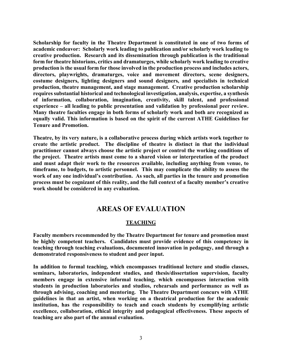**Scholarship for faculty in the Theatre Department is constituted in one of two forms of academic endeavor: Scholarly work leading to publication and/or scholarly work leading to creative production. Research and its dissemination through publication is the traditional form for theatre historians, critics and dramaturges, while scholarly work leading to creative production is the usual form for those involved in the production process and includes actors, directors, playwrights, dramaturges, voice and movement directors, scene designers, costume designers, lighting designers and sound designers, and specialists in technical production, theatre management, and stage management. Creative production scholarship requires substantial historical and technological investigation, analysis, expertise, a synthesis of information, collaboration, imagination, creativity, skill talent, and professional experience – all leading to public presentation and validation by professional peer review. Many theatre faculties engage in both forms of scholarly work and both are recognized as equally valid. This information is based on the spirit of the current ATHE Guidelines for Tenure and Promotion.**

**Theatre, by its very nature, is a collaborative process during which artists work together to create the artistic product. The discipline of theatre is distinct in that the individual practitioner cannot always choose the artistic project or control the working conditions of the project. Theatre artists must come to a shared vision or interpretation of the product and must adapt their work to the resources available, including anything from venue, to timeframe, to budgets, to artistic personnel. This may complicate the ability to assess the work of any one individual's contribution. As such, all parties in the tenure and promotion process must be cognizant of this reality, and the full context of a faculty member's creative work should be considered in any evaluation.**

# **AREAS OF EVALUATION**

# **TEACHING**

**Faculty members recommended by the Theatre Department for tenure and promotion must be highly competent teachers. Candidates must provide evidence of this competency in teaching through teaching evaluations, documented innovation in pedagogy, and through a demonstrated responsiveness to student and peer input.**

**In addition to formal teaching, which encompasses traditional lecture and studio classes, seminars, laboratories, independent studies, and thesis/dissertation supervision, faculty members engage in extensive informal teaching, which encompasses interaction with students in production laboratories and studios, rehearsals and performance as well as through advising, coaching and mentoring. The Theatre Department concurs with ATHE guidelines in that an artist, when working on a theatrical production for the academic institution, has the responsibility to teach and coach students by exemplifying artistic excellence, collaboration, ethical integrity and pedagogical effectiveness. These aspects of teaching are also part of the annual evaluation.**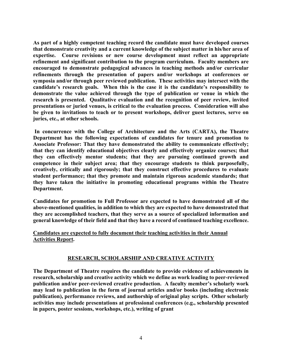**As part of a highly competent teaching record the candidate must have developed courses that demonstrate creativity and a current knowledge of the subject matter in his/her area of expertise. Course revisions or new course development must reflect an appropriate refinement and significant contribution to the program curriculum. Faculty members are encouraged to demonstrate pedagogical advances in teaching methods and/or curricular refinements through the presentation of papers and/or workshops at conferences or symposia and/or through peer reviewed publication. These activities may intersect with the candidate's research goals. When this is the case it is the candidate's responsibility to demonstrate the value achieved through the type of publication or venue in which the research is presented. Qualitative evaluation and the recognition of peer review, invited presentations or juried venues, is critical to the evaluation process. Consideration will also be given to invitations to teach or to present workshops, deliver guest lectures, serve on juries, etc., at other schools.**

**In concurrence with the College of Architecture and the Arts (CARTA), the Theatre Department has the following expectations of candidates for tenure and promotion to Associate Professor: That they have demonstrated the ability to communicate effectively; that they can identify educational objectives clearly and effectively organize courses; that they can effectively mentor students; that they are pursuing continued growth and competence in their subject area; that they encourage students to think purposefully, creatively, critically and rigorously; that they construct effective procedures to evaluate student performance; that they promote and maintain rigorous academic standards; that they have taken the initiative in promoting educational programs within the Theatre Department.**

**Candidates for promotion to Full Professor are expected to have demonstrated all of the above-mentioned qualities, in addition to which they are expected to have demonstrated that they are accomplished teachers, that they serve as a source of specialized information and general knowledge of their field and that they have a record of continued teaching excellence.**

## **Candidates are expected to fully document their teaching activities in their Annual Activities Report.**

# **RESEARCH, SCHOLARSHIP AND CREATIVE ACTIVITY**

**The Department of Theatre requires the candidate to provide evidence of achievements in research, scholarship and creative activity which we define as work leading to peer-reviewed publication and/or peer-reviewed creative production. A faculty member's scholarly work may lead to publication in the form of journal articles and/or books (including electronic publication), performance reviews, and authorship of original play scripts. Other scholarly activities may include presentations at professional conferences (e.g., scholarship presented in papers, poster sessions, workshops, etc.), writing of grant**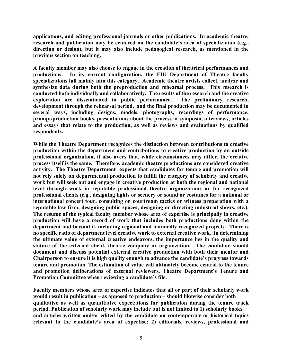**applications, and editing professional journals or other publications. In academic theatre, research and publication may be centered on the candidate's area of specialization (e.g., directing or design), but it may also include pedagogical research, as mentioned in the previous section on teaching.**

**A faculty member may also choose to engage in the creation of theatrical performances and productions. In its current configuration, the FIU Department of Theatre faculty specializations fall mainly into this category. Academic theatre artists collect, analyze and synthesize data during both the preproduction and rehearsal process. This research is conducted both individually and collaboratively. The results of the research and the creative exploration are disseminated in public performance. The preliminary research, development through the rehearsal period, and the final production may be documented in several ways, including designs, models, photographs, recordings of performance, prompt/production books, presentations about the process at symposia, interviews, articles and essays that relate to the production, as well as reviews and evaluations by qualified respondents.**

**While the Theatre Department recognizes the distinction between contributions to creative production within the department and contributions to creative production by an outside professional organization, it also avers that, while circumstances may differ, the creative process itself is the same. Therefore, academic theatre productions are considered creative activity. The Theatre Department expects that candidates for tenure and promotion will not rely solely on departmental production to fulfill the category of scholarly and creative work but will seek out and engage in creative production at both the regional and national level through work in reputable professional theatre organizations or for recognized professional clients (e.g., designing lights or scenery or sound or costumes for a national or international concert tour, consulting on courtroom tactics or witness preparation with a reputable law firm, designing public spaces, designing or directing industrial shows, etc.). The resume of the typical faculty member whose area of expertise is principally in creative production will have a record of work that includes both productions done within the department and beyond it, including regional and nationally recognized projects. There is no specific ratio of department level creative work to external creative work. In determining the ultimate value of external creative endeavors, the importance lies in the quality and stature of the external client, theatre company or organization. The candidate should document and discuss potential external creative production with both their mentor and Chairperson to ensure it is high quality enough to advance the candidate's progress towards tenure and promotion. The estimation of value will ultimately become central to the tenure and promotion deliberations of external reviewers, Theatre Department's Tenure and Promotion Committee when reviewing a candidate's file.** 

**Faculty members whose area of expertise indicates that all or part of their scholarly work would result in publication – as opposed to production – should likewise consider both qualitative as well as quantitative expectations for publication during the tenure track period. Publication of scholarly work may include but is not limited to 1) scholarly books and articles written and/or edited by the candidate on contemporary or historical topics relevant to the candidate's area of expertise; 2) editorials, reviews, professional and**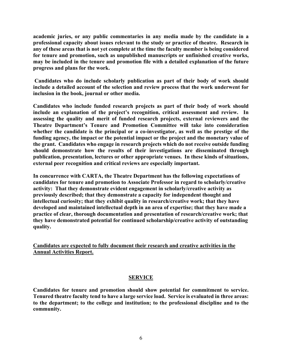**academic juries, or any public commentaries in any media made by the candidate in a professional capacity about issues relevant to the study or practice of theatre. Research in any of these areas that is not yet complete at the time the faculty member is being considered for tenure and promotion, such as unpublished manuscripts or unfinished creative works, may be included in the tenure and promotion file with a detailed explanation of the future progress and plans for the work.** 

**Candidates who do include scholarly publication as part of their body of work should include a detailed account of the selection and review process that the work underwent for inclusion in the book, journal or other media.** 

**Candidates who include funded research projects as part of their body of work should include an explanation of the project's recognition, critical assessment and review. In assessing the quality and merit of funded research projects, external reviewers and the Theatre Department's Tenure and Promotion Committee will take into consideration whether the candidate is the principal or a co-investigator, as well as the prestige of the funding agency, the impact or the potential impact or the project and the monetary value of the grant. Candidates who engage in research projects which do not receive outside funding should demonstrate how the results of their investigations are disseminated through publication, presentation, lectures or other appropriate venues. In these kinds of situations, external peer recognition and critical reviews are especially important.**

**In concurrence with CARTA, the Theatre Department has the following expectations of candidates for tenure and promotion to Associate Professor in regard to scholarly/creative activity: That they demonstrate evident engagement in scholarly/creative activity as previously described; that they demonstrate a capacity for independent thought and intellectual curiosity; that they exhibit quality in research/creative work; that they have developed and maintained intellectual depth in an area of expertise; that they have made a practice of clear, thorough documentation and presentation of research/creative work; that they have demonstrated potential for continued scholarship/creative activity of outstanding quality.**

**Candidates are expected to fully document their research and creative activities in the Annual Activities Report.**

# **SERVICE**

**Candidates for tenure and promotion should show potential for commitment to service. Tenured theatre faculty tend to have a large service load. Service is evaluated in three areas: to the department; to the college and institution; to the professional discipline and to the community.**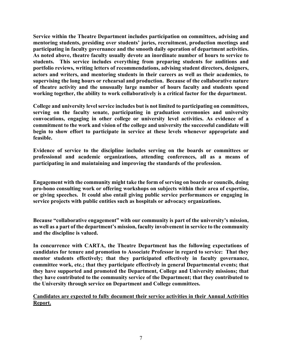**Service within the Theatre Department includes participation on committees, advising and mentoring students, presiding over students' juries, recruitment, production meetings and participating in faculty governance and the smooth daily operation of department activities. As noted above, theatre faculty usually devote an inordinate number of hours to service to students. This service includes everything from preparing students for auditions and portfolio reviews, writing letters of recommendations, advising student directors, designers, actors and writers, and mentoring students in their careers as well as their academics, to supervising the long hours or rehearsal and production. Because of the collaborative nature of theatre activity and the unusually large number of hours faculty and students spend working together, the ability to work collaboratively is a critical factor for the department.**

**College and university level service includes but is not limited to participating on committees, serving on the faculty senate, participating in graduation ceremonies and university convocations, engaging in other college or university level activities. As evidence of a commitment to the work and vision of the college and university the successful candidate will begin to show effort to participate in service at these levels whenever appropriate and feasible.**

**Evidence of service to the discipline includes serving on the boards or committees or professional and academic organizations, attending conferences, all as a means of participating in and maintaining and improving the standards of the profession.**

**Engagement with the community might take the form of serving on boards or councils, doing pro-bono consulting work or offering workshops on subjects within their area of expertise, or giving speeches. It could also entail giving public service performances or engaging in service projects with public entities such as hospitals or advocacy organizations.** 

**Because "collaborative engagement" with our community is part of the university's mission, as well as a part of the department's mission, faculty involvement in service to the community and the discipline is valued.**

**In concurrence with CARTA, the Theatre Department has the following expectations of candidates for tenure and promotion to Associate Professor in regard to service: That they mentor students effectively; that they participated effectively in faculty governance, committee work, etc.; that they participate effectively in general Departmental events; that they have supported and promoted the Department, College and University missions; that they have contributed to the community service of the Department; that they contributed to the University through service on Department and College committees.**

**Candidates are expected to fully document their service activities in their Annual Activities Report.**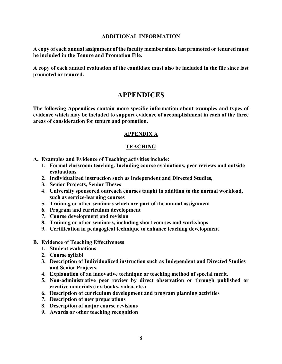#### **ADDITIONAL INFORMATION**

**A copy of each annual assignment of the faculty member since last promoted or tenured must be included in the Tenure and Promotion File.**

**A copy of each annual evaluation of the candidate must also be included in the file since last promoted or tenured.**

# **APPENDICES**

**The following Appendices contain more specific information about examples and types of evidence which may be included to support evidence of accomplishment in each of the three areas of consideration for tenure and promotion.**

## **APPENDIX A**

# **TEACHING**

- **A. Examples and Evidence of Teaching activities include:** 
	- **1. Formal classroom teaching. Including course evaluations, peer reviews and outside evaluations**
	- **2. Individualized instruction such as Independent and Directed Studies,**
	- **3. Senior Projects, Senior Theses**
	- 4. **University sponsored outreach courses taught in addition to the normal workload, such as service-learning courses**
	- **5. Training or other seminars which are part of the annual assignment**
	- **6. Program and curriculum development**
	- **7. Course development and revision**
	- **8. Training or other seminars, including short courses and workshops**
	- **9. Certification in pedagogical technique to enhance teaching development**
- **B. Evidence of Teaching Effectiveness** 
	- **1. Student evaluations**
	- **2. Course syllabi**
	- **3. Description of Individualized instruction such as Independent and Directed Studies and Senior Projects.**
	- **4. Explanation of an innovative technique or teaching method of special merit.**
	- **5. Non-administrative peer review by direct observation or through published or creative materials (textbooks, video, etc.)**
	- **6. Description of curriculum development and program planning activities**
	- **7. Description of new preparations**
	- **8. Description of major course revisions**
	- **9. Awards or other teaching recognition**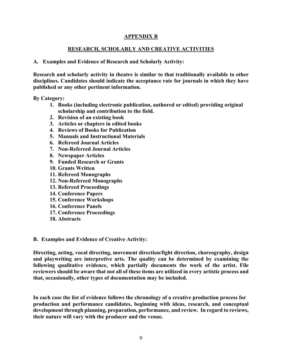# **APPENDIX B**

# **RESEARCH, SCHOLARLY AND CREATIVE ACTIVITIES**

#### **A. Examples and Evidence of Research and Scholarly Activity:**

**Research and scholarly activity in theatre is similar to that traditionally available to other disciplines. Candidates should indicate the acceptance rate for journals in which they have published or any other pertinent information.**

**By Category:**

- **1. Books (including electronic publication, authored or edited) providing original scholarship and contribution to the field.**
- **2. Revision of an existing book**
- **3. Articles or chapters in edited books**
- **4. Reviews of Books for Publication**
- **5. Manuals and Instructional Materials**
- **6. Refereed Journal Articles**
- **7. Non-Refereed Journal Articles**
- **8. Newspaper Articles**
- **9. Funded Research or Grants**
- **10. Grants Written**
- **11. Refereed Monographs**
- **12. Non-Refereed Monographs**
- **13. Refereed Proceedings**
- **14. Conference Papers**
- **15. Conference Workshops**
- **16. Conference Panels**
- **17. Conference Proceedings**
- **18. Abstracts**

#### **B. Examples and Evidence of Creative Activity:**

**Directing, acting, vocal directing, movement direction/fight direction, choreography, design and playwriting are interpretive arts. The quality can be determined by examining the following qualitative evidence, which partially documents the work of the artist. File reviewers should be aware that not all of these items are utilized in every artistic process and that, occasionally, other types of documentation may be included.**

**In each case the list of evidence follows the chronology of a creative production process for production and performance candidates, beginning with ideas, research, and conceptual development through planning, preparation, performance, and review. In regard to reviews, their nature will vary with the producer and the venue.**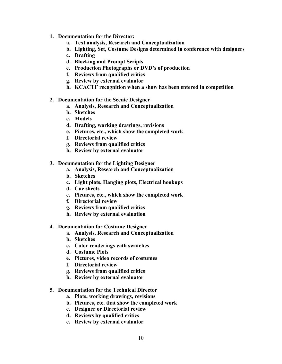- **1. Documentation for the Director:** 
	- **a. Text analysis, Research and Conceptualization**
	- **b. Lighting, Set, Costume Designs determined in conference with designers**
	- **c. Drafting**
	- **d. Blocking and Prompt Scripts**
	- **e. Production Photographs or DVD's of production**
	- **f. Reviews from qualified critics**
	- **g. Review by external evaluator**
	- **h. KCACTF recognition when a show has been entered in competition**
- **2. Documentation for the Scenic Designer**
	- **a. Analysis, Research and Conceptualization**
	- **b. Sketches**
	- **c. Models**
	- **d. Drafting, working drawings, revisions**
	- **e. Pictures, etc., which show the completed work**
	- **f. Directorial review**
	- **g. Reviews from qualified critics**
	- **h. Review by external evaluator**
- **3. Documentation for the Lighting Designer** 
	- **a. Analysis, Research and Conceptualization**
	- **b. Sketches**
	- **c. Light plots, Hanging plots, Electrical hookups**
	- **d. Cue sheets**
	- **e. Pictures, etc., which show the completed work**
	- **f. Directorial review**
	- **g. Reviews from qualified critics**
	- **h. Review by external evaluation**
- **4. Documentation for Costume Designer**
	- **a. Analysis, Research and Conceptualization**
	- **b. Sketches**
	- **c. Color renderings with swatches**
	- **d. Costume Plots**
	- **e. Pictures, video records of costumes**
	- **f. Directorial review**
	- **g. Reviews from qualified critics**
	- **h. Review by external evaluator**
- **5. Documentation for the Technical Director** 
	- **a. Plots, working drawings, revisions**
	- **b. Pictures, etc. that show the completed work**
	- **c. Designer or Directorial review**
	- **d. Reviews by qualified critics**
	- **e. Review by external evaluator**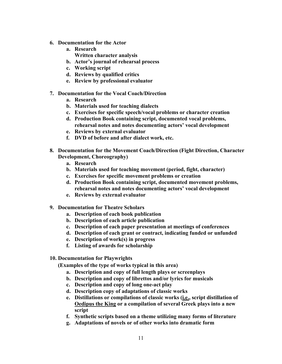- **6. Documentation for the Actor**
	- **a. Research** 
		- **Written character analysis**
	- **b. Actor's journal of rehearsal process**
	- **c. Working script**
	- **d. Reviews by qualified critics**
	- **e. Review by professional evaluator**
- **7. Documentation for the Vocal Coach/Direction**
	- **a. Research**
	- **b. Materials used for teaching dialects**
	- **c. Exercises for specific speech/vocal problems or character creation**
	- **d. Production Book containing script, documented vocal problems, rehearsal notes and notes documenting actors' vocal development**
	- **e. Reviews by external evaluator**
	- **f. DVD of before and after dialect work, etc.**
- **8. Documentation for the Movement Coach/Direction (Fight Direction, Character Development, Choreography)**
	- **a. Research**
	- **b. Materials used for teaching movement (period, fight, character)**
	- **c. Exercises for specific movement problems or creation**
	- **d. Production Book containing script, documented movement problems, rehearsal notes and notes documenting actors' vocal development**
	- **e. Reviews by external evaluator**
- **9. Documentation for Theatre Scholars**
	- **a. Description of each book publication**
	- **b. Description of each article publication**
	- **c. Description of each paper presentation at meetings of conferences**
	- **d. Description of each grant or contract, indicating funded or unfunded**
	- **e. Description of work(s) in progress**
	- **f. Listing of awards for scholarship**
- **10. Documentation for Playwrights**

**(Examples of the type of works typical in this area)**

- **a. Description and copy of full length plays or screenplays**
- **b. Description and copy of librettos and/or lyrics for musicals**
- **c. Description and copy of long one-act play**
- **d. Description copy of adaptations of classic works**
- **e. Distillations or compilations of classic works (i.e., script distillation of Oedipus the King or a compilation of several Greek plays into a new script**
- **f. Synthetic scripts based on a theme utilizing many forms of literature**
- **g. Adaptations of novels or of other works into dramatic form**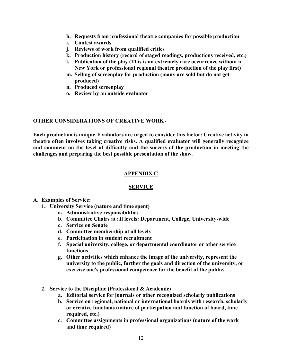- **h. Requests from professional theatre companies for possible production**
- **i. Contest awards**
- **j. Reviews of work from qualified critics**
- **k. Production history (record of staged readings, productions received, etc.)**
- **l. Publication of the play (This is an extremely rare occurrence without a New York or professional regional theatre production of the play first)**
- **m. Selling of screenplay for production (many are sold but do not get produced)**
- **n. Produced screenplay**
- **o. Review by an outside evaluator**

#### **OTHER CONSIDERATIONS OF CREATIVE WORK**

**Each production is unique. Evaluators are urged to consider this factor: Creative activity in theatre often involves taking creative risks. A qualified evaluator will generally recognize and comment on the level of difficulty and the success of the production in meeting the challenges and preparing the best possible presentation of the show.**

## **APPENDIX C**

#### **SERVICE**

- **A. Examples of Service:** 
	- **1. University Service (nature and time spent)** 
		- **a. Administrative responsibilities**
		- **b. Committee Chairs at all levels: Department, College, University-wide**
		- **c. Service on Senate**
		- **d. Committee membership at all levels**
		- **e. Participation in student recruitment**
		- **f. Special university, college, or departmental coordinator or other service functions**
		- **g. Other activities which enhance the image of the university, represent the university to the public, further the goals and direction of the university, or exercise one's professional competence for the benefit of the public.**
	- **2. Service to the Discipline (Professional & Academic)** 
		- **a. Editorial service for journals or other recognized scholarly publications**
		- **b. Service on regional, national or international boards with research, scholarly or creative functions (nature of participation and function of board, time required, etc.)**
		- **c. Committee assignments in professional organizations (nature of the work and time required)**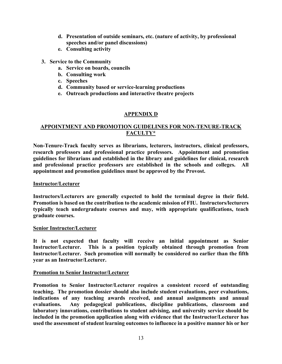- **d. Presentation of outside seminars, etc. (nature of activity, by professional speeches and/or panel discussions)**
- **e. Consulting activity**
- **3. Service to the Community**
	- **a. Service on boards, councils**
	- **b. Consulting work**
	- **c. Speeches**
	- **d. Community based or service-learning productions**
	- **e. Outreach productions and interactive theatre projects**

# **APPENDIX D**

# **APPOINTMENT AND PROMOTION GUIDELINES FOR NON-TENURE-TRACK FACULTY\***

**Non-Tenure-Track faculty serves as librarians, lecturers, instructors, clinical professors, research professors and professional practice professors. Appointment and promotion guidelines for librarians and established in the library and guidelines for clinical, research and professional practice professors are established in the schools and colleges. All appointment and promotion guidelines must be approved by the Provost.**

#### **Instructor/Lecturer**

**Instructors/Lecturers are generally expected to hold the terminal degree in their field. Promotion is based on the contribution to the academic mission of FIU. Instructors/lecturers typically teach undergraduate courses and may, with appropriate qualifications, teach graduate courses.**

#### **Senior Instructor/Lecturer**

**It is not expected that faculty will receive an initial appointment as Senior Instructor/Lecturer. This is a position typically obtained through promotion from Instructor/Lecturer. Such promotion will normally be considered no earlier than the fifth year as an Instructor/Lecturer.**

#### **Promotion to Senior Instructor/Lecturer**

**Promotion to Senior Instructor/Lecturer requires a consistent record of outstanding teaching. The promotion dossier should also include student evaluations, peer evaluations, indications of any teaching awards received, and annual assignments and annual evaluations. Any pedagogical publications, discipline publications, classroom and laboratory innovations, contributions to student advising, and university service should be included in the promotion application along with evidence that the Instructor/Lecturer has used the assessment of student learning outcomes to influence in a positive manner his or her**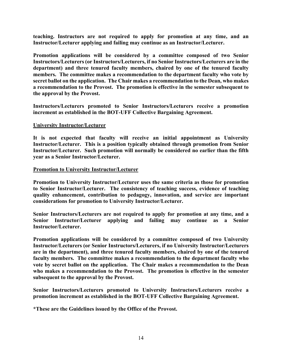**teaching. Instructors are not required to apply for promotion at any time, and an Instructor/Lecturer applying and failing may continue as an Instructor/Lecturer.**

**Promotion applications will be considered by a committee composed of two Senior Instructors/Lecturers (or Instructors/Lecturers, if no Senior Instructors/Lecturers are in the department) and three tenured faculty members, chaired by one of the tenured faculty members. The committee makes a recommendation to the department faculty who vote by secret ballot on the application. The Chair makes a recommendation to the Dean, who makes a recommendation to the Provost. The promotion is effective in the semester subsequent to the approval by the Provost.**

**Instructors/Lecturers promoted to Senior Instructors/Lecturers receive a promotion increment as established in the BOT-UFF Collective Bargaining Agreement.**

#### **University Instructor/Lecturer**

**It is not expected that faculty will receive an initial appointment as University Instructor/Lecturer. This is a position typically obtained through promotion from Senior Instructor/Lecturer. Such promotion will normally be considered no earlier than the fifth year as a Senior Instructor/Lecturer.**

#### **Promotion to University Instructor/Lecturer**

**Promotion to University Instructor/Lecturer uses the same criteria as those for promotion to Senior Instructor/Lecturer. The consistency of teaching success, evidence of teaching quality enhancement, contribution to pedagogy, innovation, and service are important considerations for promotion to University Instructor/Lecturer.** 

**Senior Instructors/Lecturers are not required to apply for promotion at any time, and a Senior Instructor/Lecturer applying and failing may continue as a Senior Instructor/Lecturer.**

**Promotion applications will be considered by a committee composed of two University Instructor/Lecturers (or Senior Instructors/Lecturers, if no University Instructor/Lecturers are in the department), and three tenured faculty members, chaired by one of the tenured faculty members. The committee makes a recommendation to the department faculty who vote by secret ballot on the application. The Chair makes a recommendation to the Dean who makes a recommendation to the Provost. The promotion is effective in the semester subsequent to the approval by the Provost.**

**Senior Instructors/Lecturers promoted to University Instructors/Lecturers receive a promotion increment as established in the BOT-UFF Collective Bargaining Agreement.**

**\*These are the Guidelines issued by the Office of the Provost.**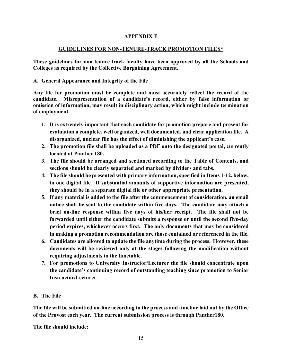# **APPENDIX E**

# **GUIDELINES FOR NON-TENURE-TRACK PROMOTION FILES\***

**These guidelines for non-tenure-track faculty have been approved by all the Schools and Colleges as required by the Collective Bargaining Agreement.** 

# **A. General Appearance and Integrity of the File**

**Any file for promotion must be complete and must accurately reflect the record of the candidate. Misrepresentation of a candidate's record, either by false information or omission of information, may result in disciplinary action, which might include termination of employment.**

- **1. It is extremely important that each candidate for promotion prepare and present for evaluation a complete, well organized, well documented, and clear application file. A disorganized, unclear file has the effect of diminishing the applicant's case.**
- **2. The promotion file shall be uploaded as a PDF onto the designated portal, currently located at Panther 180.**
- **3. The file should be arranged and sectioned according to the Table of Contents, and sections should be clearly separated and marked by dividers and tabs.**
- **4. The file should be presented with primary information, specified in Items 1-12, below, in one digital file. If substantial amounts of supportive information are presented, they should be in a separate digital file or other appropriate presentation.**
- **5. If any material is added to the file after the commencement of consideration, an email notice shall be sent to the candidate within five days. The candidate may attach a brief on-line response within five days of his/her receipt. The file shall not be forwarded until either the candidate submits a response or until the second five-day period expires, whichever occurs first. The only documents that may be considered in making a promotion recommendation are those contained or referenced in the file.**
- **6. Candidates are allowed to update the file anytime during the process. However, these documents will be reviewed only at the stages following the modification without requiring adjustments to the timetable.**
- **7. For promotions to University Instructor/Lecturer the file should concentrate upon the candidate's continuing record of outstanding teaching since promotion to Senior Instructor/Lecturer.**

# **B. The File**

**The file will be submitted on-line according to the process and timeline laid out by the Office of the Provost each year. The current submission process is through Panther180.** 

**The file should include:**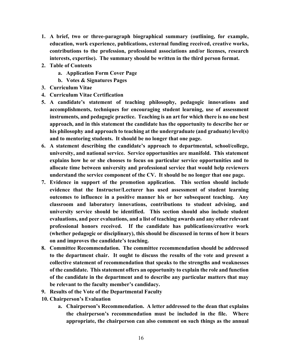- **1. A brief, two or three-paragraph biographical summary (outlining, for example, education, work experience, publications, external funding received, creative works, contributions to the profession, professional associations and/or licenses, research interests, expertise). The summary should be written in the third person format.**
- **2. Table of Contents**
	- **a. Application Form Cover Page**
	- **b. Votes & Signatures Pages**
- **3. Curriculum Vitae**
- **4. Curriculum Vitae Certification**
- **5. A candidate's statement of teaching philosophy, pedagogic innovations and accomplishments, techniques for encouraging student learning, use of assessment instruments, and pedagogic practice. Teaching is an art for which there is no one best approach, and in this statement the candidate has the opportunity to describe her or his philosophy and approach to teaching at the undergraduate (and graduate) level(s) and to mentoring students. It should be no longer that one page.**
- **6. A statement describing the candidate's approach to departmental, school/college, university, and national service. Service opportunities are manifold. This statement explains how he or she chooses to focus on particular service opportunities and to allocate time between university and professional service that would help reviewers understand the service component of the CV. It should be no longer that one page.**
- **7. Evidence in support of the promotion application. This section should include evidence that the Instructor/Lecturer has used assessment of student learning outcomes to influence in a positive manner his or her subsequent teaching. Any classroom and laboratory innovations, contributions to student advising, and university service should be identified. This section should also include student evaluations, and peer evaluations, and a list of teaching awards and any other relevant professional honors received. If the candidate has publications/creative work (whether pedagogic or disciplinary), this should be discussed in terms of how it bears on and improves the candidate's teaching.**
- **8. Committee Recommendation. The committee recommendation should be addressed to the department chair. It ought to discuss the results of the vote and present a collective statement of recommendation that speaks to the strengths and weaknesses of the candidate. This statement offers an opportunity to explain the role and function of the candidate in the department and to describe any particular matters that may be relevant to the faculty member's candidacy.**
- **9. Results of the Vote of the Departmental Faculty**
- **10. Chairperson's Evaluation**
	- **a. Chairperson's Recommendation. A letter addressed to the dean that explains the chairperson's recommendation must be included in the file. Where appropriate, the chairperson can also comment on such things as the annual**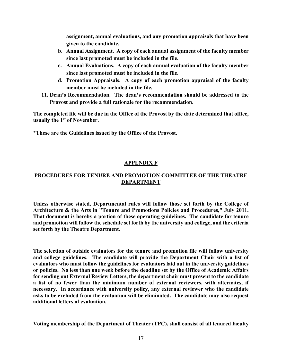**assignment, annual evaluations, and any promotion appraisals that have been given to the candidate.**

- **b. Annual Assignment. A copy of each annual assignment of the faculty member since last promoted must be included in the file.**
- **c. Annual Evaluations. A copy of each annual evaluation of the faculty member since last promoted must be included in the file.**
- **d. Promotion Appraisals. A copy of each promotion appraisal of the faculty member must be included in the file.**
- **11. Dean's Recommendation. The dean's recommendation should be addressed to the Provost and provide a full rationale for the recommendation.**

**The completed file will be due in the Office of the Provost by the date determined that office, usually the 1st of November.**

**\*These are the Guidelines issued by the Office of the Provost.**

# **APPENDIX F**

# **PROCEDURES FOR TENURE AND PROMOTION COMMITTEE OF THE THEATRE DEPARTMENT**

**Unless otherwise stated, Departmental rules will follow those set forth by the College of Architecture & the Arts in "Tenure and Promotions Policies and Procedures," July 2011. That document is hereby a portion of these operating guidelines. The candidate for tenure and promotion will follow the schedule set forth by the university and college, and the criteria set forth by the Theatre Department.**

**The selection of outside evaluators for the tenure and promotion file will follow university and college guidelines. The candidate will provide the Department Chair with a list of evaluators who must follow the guidelines for evaluators laid out in the university guidelines or policies. No less than one week before the deadline set by the Office of Academic Affairs for sending out External Review Letters, the department chair must present to the candidate a list of no fewer than the minimum number of external reviewers, with alternates, if necessary. In accordance with university policy, any external reviewer who the candidate asks to be excluded from the evaluation will be eliminated. The candidate may also request additional letters of evaluation.**

**Voting membership of the Department of Theater (TPC), shall consist of all tenured faculty**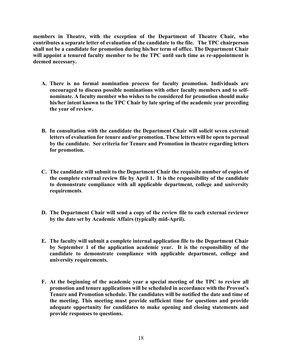**members in Theatre, with the exception of the Department of Theatre Chair, who contributes a separate letter of evaluation of the candidate to the file. The TPC chairperson shall not be a candidate for promotion during his/her term of office. The Department Chair will appoint a tenured faculty member to be the TPC until such time as re-appointment is deemed necessary.**

- **A. There is no formal nomination process for faculty promotion. Individuals are encouraged to discuss possible nominations with other faculty members and to selfnominate. A faculty member who wishes to be considered for promotion should make his/her intent known to the TPC Chair by late spring of the academic year preceding the year of review.**
- **B. In consultation with the candidate the Department Chair will solicit seven external letters of evaluation for tenure and/or promotion. These letters will be open to perusal by the candidate. See criteria for Tenure and Promotion in theatre regarding letters for promotion.**
- **C. The candidate will submit to the Department Chair the requisite number of copies of the complete external review file by April 1. It is the responsibility of the candidate to demonstrate compliance with all applicable department, college and university requirements**.
- **D. The Department Chair will send a copy of the review file to each external reviewer by the date set by Academic Affairs (typically mid-April).**
- **E. The faculty will submit a complete internal application file to the Department Chair by September 1 of the application academic year. It is the responsibility of the candidate to demonstrate compliance with applicable department, college and university requirements.**
- **F. At the beginning of the academic year a special meeting of the TPC to review all promotion and tenure applications will be scheduled in accordance with the Provost's Tenure and Promotion schedule. The candidates will be notified the date and time of the meeting. This meeting must provide sufficient time for questions and provide adequate opportunity for candidates to make opening and closing statements and provide responses to questions.**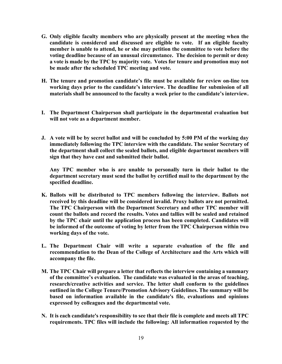- **G. Only eligible faculty members who are physically present at the meeting when the candidate is considered and discussed are eligible to vote. If an eligible faculty member is unable to attend, he or she may petition the committee to vote before the voting deadline because of an unusual circumstance. The decision to permit or deny a vote is made by the TPC by majority vote. Votes for tenure and promotion may not be made after the scheduled TPC meeting and vote.**
- **H. The tenure and promotion candidate's file must be available for review on-line ten working days prior to the candidate's interview. The deadline for submission of all materials shall be announced to the faculty a week prior to the candidate's interview.**
- **I. The Department Chairperson shall participate in the departmental evaluation but will not vote as a department member.**
- **J. A vote will be by secret ballot and will be concluded by 5:00 PM of the working day immediately following the TPC interview with the candidate. The senior Secretary of the department shall collect the sealed ballots, and eligible department members will sign that they have cast and submitted their ballot.**

**Any TPC member who is are unable to personally turn in their ballot to the department secretary must send the ballot by certified mail to the department by the specified deadline.**

- **K. Ballots will be distributed to TPC members following the interview. Ballots not received by this deadline will be considered invalid. Proxy ballots are not permitted. The TPC Chairperson with the Department Secretary and other TPC member will count the ballots and record the results. Votes and tallies will be sealed and retained by the TPC chair until the application process has been completed. Candidates will be informed of the outcome of voting by letter from the TPC Chairperson within two working days of the vote.**
- **L. The Department Chair will write a separate evaluation of the file and recommendation to the Dean of the College of Architecture and the Arts which will accompany the file.**
- **M. The TPC Chair will prepare a letter that reflects the interview containing a summary of the committee's evaluation. The candidate was evaluated in the areas of teaching, research/creative activities and service. The letter shall conform to the guidelines outlined in the College Tenure/Promotion Advisory Guidelines. The summary will be based on information available in the candidate's file, evaluations and opinions expressed by colleagues and the departmental vote.**
- **N. It is each candidate's responsibility to see that their file is complete and meets all TPC requirements. TPC files will include the following: All information requested by the**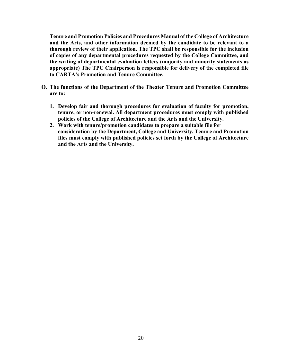**Tenure and Promotion Policies and Procedures Manual of the College of Architecture and the Arts, and other information deemed by the candidate to be relevant to a thorough review of their application. The TPC shall be responsible for the inclusion of copies of any departmental procedures requested by the College Committee, and the writing of departmental evaluation letters (majority and minority statements as appropriate) The TPC Chairperson is responsible for delivery of the completed file to CARTA's Promotion and Tenure Committee.**

- **O. The functions of the Department of the Theater Tenure and Promotion Committee are to:** 
	- **1. Develop fair and thorough procedures for evaluation of faculty for promotion, tenure, or non-renewal. All department procedures must comply with published policies of the College of Architecture and the Arts and the University.**
	- **2. Work with tenure/promotion candidates to prepare a suitable file for consideration by the Department, College and University. Tenure and Promotion files must comply with published policies set forth by the College of Architecture and the Arts and the University.**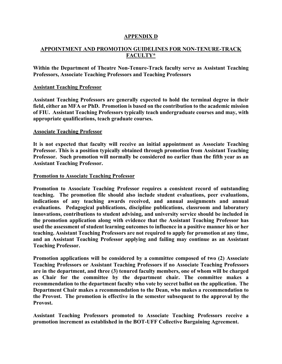## **APPENDIX D**

# **APPOINTMENT AND PROMOTION GUIDELINES FOR NON-TENURE-TRACK FACULTY\***

**Within the Department of Theatre Non-Tenure-Track faculty serve as Assistant Teaching Professors, Associate Teaching Professors and Teaching Professors**

#### **Assistant Teaching Professor**

**Assistant Teaching Professors are generally expected to hold the terminal degree in their field, either an MFA or PhD. Promotion is based on the contribution to the academic mission of FIU. Assistant Teaching Professors typically teach undergraduate courses and may, with appropriate qualifications, teach graduate courses.**

#### **Associate Teaching Professor**

**It is not expected that faculty will receive an initial appointment as Associate Teaching Professor. This is a position typically obtained through promotion from Assistant Teaching Professor. Such promotion will normally be considered no earlier than the fifth year as an Assistant Teaching Professor.**

#### **Promotion to Associate Teaching Professor**

**Promotion to Associate Teaching Professor requires a consistent record of outstanding teaching. The promotion file should also include student evaluations, peer evaluations, indications of any teaching awards received, and annual assignments and annual evaluations. Pedagogical publications, discipline publications, classroom and laboratory innovations, contributions to student advising, and university service should be included in the promotion application along with evidence that the Assistant Teaching Professor has used the assessment of student learning outcomes to influence in a positive manner his or her teaching. Assistant Teaching Professors are not required to apply for promotion at any time, and an Assistant Teaching Professor applying and failing may continue as an Assistant Teaching Professor.**

**Promotion applications will be considered by a committee composed of two (2) Associate Teaching Professors or Assistant Teaching Professors if no Associate Teaching Professors are in the department, and three (3) tenured faculty members, one of whom will be charged as Chair for the committee by the department chair. The committee makes a recommendation to the department faculty who vote by secret ballot on the application. The Department Chair makes a recommendation to the Dean, who makes a recommendation to the Provost. The promotion is effective in the semester subsequent to the approval by the Provost.**

**Assistant Teaching Professors promoted to Associate Teaching Professors receive a promotion increment as established in the BOT-UFF Collective Bargaining Agreement.**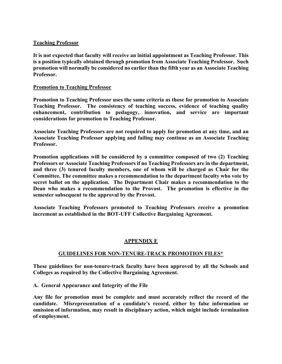### **Teaching Professor**

**It is not expected that faculty will receive an initial appointment as Teaching Professor. This is a position typically obtained through promotion from Associate Teaching Professor. Such promotion will normally be considered no earlier than the fifth year as an Associate Teaching Professor.**

#### **Promotion to Teaching Professor**

**Promotion to Teaching Professor uses the same criteria as those for promotion to Associate Teaching Professor. The consistency of teaching success, evidence of teaching quality enhancement, contribution to pedagogy, innovation, and service are important considerations for promotion to Teaching Professor.** 

**Associate Teaching Professors are not required to apply for promotion at any time, and an Associate Teaching Professor applying and failing may continue as an Associate Teaching Professor.**

**Promotion applications will be considered by a committee composed of two (2) Teaching Professors or Associate Teaching Professors if no Teaching Professors are in the department, and three (3) tenured faculty members, one of whom will be charged as Chair for the Committee. The committee makes a recommendation to the department faculty who vote by secret ballot on the application. The Department Chair makes a recommendation to the Dean who makes a recommendation to the Provost. The promotion is effective in the semester subsequent to the approval by the Provost.**

**Associate Teaching Professors promoted to Teaching Professors receive a promotion increment as established in the BOT-UFF Collective Bargaining Agreement.**

# **APPENDIX E**

# **GUIDELINES FOR NON-TENURE-TRACK PROMOTION FILES\***

**These guidelines for non-tenure-track faculty have been approved by all the Schools and Colleges as required by the Collective Bargaining Agreement.** 

**A. General Appearance and Integrity of the File**

**Any file for promotion must be complete and must accurately reflect the record of the candidate. Misrepresentation of a candidate's record, either by false information or omission of information, may result in disciplinary action, which might include termination of employment.**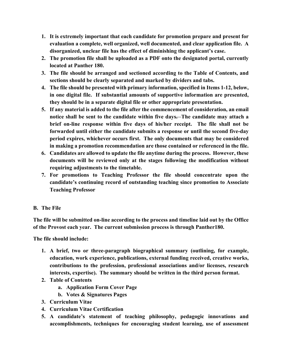- **1. It is extremely important that each candidate for promotion prepare and present for evaluation a complete, well organized, well documented, and clear application file. A disorganized, unclear file has the effect of diminishing the applicant's case.**
- **2. The promotion file shall be uploaded as a PDF onto the designated portal, currently located at Panther 180.**
- **3. The file should be arranged and sectioned according to the Table of Contents, and sections should be clearly separated and marked by dividers and tabs.**
- **4. The file should be presented with primary information, specified in Items 1-12, below, in one digital file. If substantial amounts of supportive information are presented, they should be in a separate digital file or other appropriate presentation.**
- **5. If any material is added to the file after the commencement of consideration, an email notice shall be sent to the candidate within five days. The candidate may attach a brief on-line response within five days of his/her receipt. The file shall not be forwarded until either the candidate submits a response or until the second five-day period expires, whichever occurs first. The only documents that may be considered in making a promotion recommendation are those contained or referenced in the file.**
- **6. Candidates are allowed to update the file anytime during the process. However, these documents will be reviewed only at the stages following the modification without requiring adjustments to the timetable.**
- **7. For promotions to Teaching Professor the file should concentrate upon the candidate's continuing record of outstanding teaching since promotion to Associate Teaching Professor**

# **B. The File**

**The file will be submitted on-line according to the process and timeline laid out by the Office of the Provost each year. The current submission process is through Panther180.** 

**The file should include:**

- **1. A brief, two or three-paragraph biographical summary (outlining, for example, education, work experience, publications, external funding received, creative works, contributions to the profession, professional associations and/or licenses, research interests, expertise). The summary should be written in the third person format.**
- **2. Table of Contents**
	- **a. Application Form Cover Page**
	- **b. Votes & Signatures Pages**
- **3. Curriculum Vitae**
- **4. Curriculum Vitae Certification**
- **5. A candidate's statement of teaching philosophy, pedagogic innovations and accomplishments, techniques for encouraging student learning, use of assessment**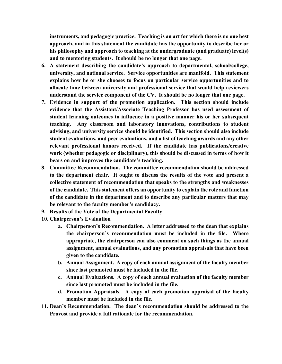**instruments, and pedagogic practice. Teaching is an art for which there is no one best approach, and in this statement the candidate has the opportunity to describe her or his philosophy and approach to teaching at the undergraduate (and graduate) level(s) and to mentoring students. It should be no longer that one page.**

- **6. A statement describing the candidate's approach to departmental, school/college, university, and national service. Service opportunities are manifold. This statement explains how he or she chooses to focus on particular service opportunities and to allocate time between university and professional service that would help reviewers understand the service component of the CV. It should be no longer that one page.**
- **7. Evidence in support of the promotion application. This section should include evidence that the Assistant/Associate Teaching Professor has used assessment of student learning outcomes to influence in a positive manner his or her subsequent teaching. Any classroom and laboratory innovations, contributions to student advising, and university service should be identified. This section should also include student evaluations, and peer evaluations, and a list of teaching awards and any other relevant professional honors received. If the candidate has publications/creative work (whether pedagogic or disciplinary), this should be discussed in terms of how it bears on and improves the candidate's teaching.**
- **8. Committee Recommendation. The committee recommendation should be addressed to the department chair. It ought to discuss the results of the vote and present a collective statement of recommendation that speaks to the strengths and weaknesses of the candidate. This statement offers an opportunity to explain the role and function of the candidate in the department and to describe any particular matters that may be relevant to the faculty member's candidacy.**
- **9. Results of the Vote of the Departmental Faculty**
- **10. Chairperson's Evaluation**
	- **a. Chairperson's Recommendation. A letter addressed to the dean that explains the chairperson's recommendation must be included in the file. Where appropriate, the chairperson can also comment on such things as the annual assignment, annual evaluations, and any promotion appraisals that have been given to the candidate.**
	- **b. Annual Assignment. A copy of each annual assignment of the faculty member since last promoted must be included in the file.**
	- **c. Annual Evaluations. A copy of each annual evaluation of the faculty member since last promoted must be included in the file.**
	- **d. Promotion Appraisals. A copy of each promotion appraisal of the faculty member must be included in the file.**
- **11. Dean's Recommendation. The dean's recommendation should be addressed to the Provost and provide a full rationale for the recommendation.**